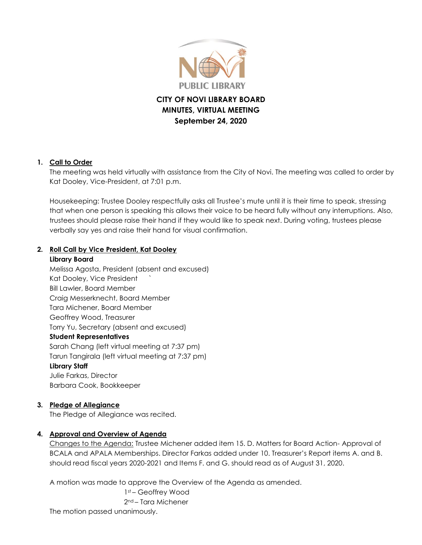

# **CITY OF NOVI LIBRARY BOARD MINUTES, VIRTUAL MEETING September 24, 2020**

#### **1. Call to Order**

The meeting was held virtually with assistance from the City of Novi. The meeting was called to order by Kat Dooley, Vice-President, at 7:01 p.m.

Housekeeping: Trustee Dooley respectfully asks all Trustee's mute until it is their time to speak, stressing that when one person is speaking this allows their voice to be heard fully without any interruptions. Also, trustees should please raise their hand if they would like to speak next. During voting, trustees please verbally say yes and raise their hand for visual confirmation.

#### **2. Roll Call by Vice President, Kat Dooley**

#### **Library Board**

Melissa Agosta, President (absent and excused) Kat Dooley, Vice President ` Bill Lawler, Board Member Craig Messerknecht, Board Member Tara Michener, Board Member Geoffrey Wood, Treasurer Torry Yu, Secretary (absent and excused) **Student Representatives** Sarah Chang (left virtual meeting at 7:37 pm) Tarun Tangirala (left virtual meeting at 7:37 pm) **Library Staff** Julie Farkas, Director Barbara Cook, Bookkeeper

#### **3. Pledge of Allegiance**

The Pledge of Allegiance was recited.

#### **4. Approval and Overview of Agenda**

Changes to the Agenda: Trustee Michener added item 15. D. Matters for Board Action- Approval of BCALA and APALA Memberships. Director Farkas added under 10. Treasurer's Report items A. and B. should read fiscal years 2020-2021 and Items F. and G. should read as of August 31, 2020.

A motion was made to approve the Overview of the Agenda as amended.

1st – Geoffrey Wood 2nd – Tara Michener The motion passed unanimously.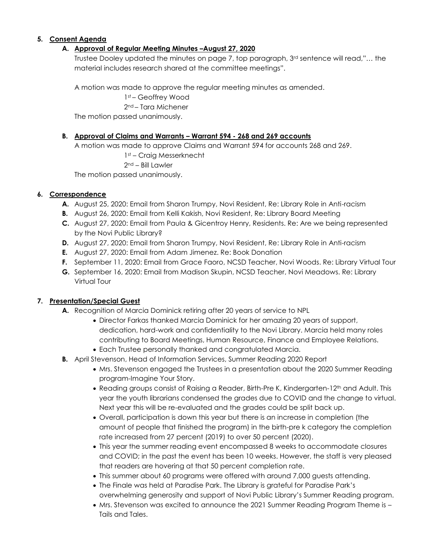### **5. Consent Agenda**

#### **A. Approval of Regular Meeting Minutes –August 27, 2020**

Trustee Dooley updated the minutes on page 7, top paragraph, 3rd sentence will read,"… the material includes research shared at the committee meetings".

A motion was made to approve the regular meeting minutes as amended.

1st – Geoffrey Wood

2nd – Tara Michener

The motion passed unanimously.

### **B. Approval of Claims and Warrants – Warrant 594 - 268 and 269 accounts**

A motion was made to approve Claims and Warrant 594 for accounts 268 and 269.

1st – Craig Messerknecht

2nd – Bill Lawler

The motion passed unanimously.

### **6. Correspondence**

- **A.** August 25, 2020: Email from Sharon Trumpy, Novi Resident, Re: Library Role in Anti-racism
- **B.** August 26, 2020: Email from Kelli Kakish, Novi Resident, Re: Library Board Meeting
- **C.** August 27, 2020: Email from Paula & Gicentroy Henry, Residents. Re: Are we being represented by the Novi Public Library?
- **D.** August 27, 2020: Email from Sharon Trumpy, Novi Resident, Re: Library Role in Anti-racism
- **E.** August 27, 2020: Email from Adam Jimenez. Re: Book Donation
- **F.** September 11, 2020: Email from Grace Faoro, NCSD Teacher, Novi Woods. Re: Library Virtual Tour
- **G.** September 16, 2020: Email from Madison Skupin, NCSD Teacher, Novi Meadows. Re: Library Virtual Tour

## **7. Presentation/Special Guest**

- **A.** Recognition of Marcia Dominick retiring after 20 years of service to NPL
	- Director Farkas thanked Marcia Dominick for her amazing 20 years of support, dedication, hard-work and confidentiality to the Novi Library. Marcia held many roles contributing to Board Meetings, Human Resource, Finance and Employee Relations.
	- Each Trustee personally thanked and congratulated Marcia.
- **B.** April Stevenson, Head of Information Services, Summer Reading 2020 Report
	- Mrs. Stevenson engaged the Trustees in a presentation about the 2020 Summer Reading program-Imagine Your Story.
	- Reading groups consist of Raising a Reader, Birth-Pre K, Kindergarten-12<sup>th</sup> and Adult. This year the youth librarians condensed the grades due to COVID and the change to virtual. Next year this will be re-evaluated and the grades could be split back up.
	- Overall, participation is down this year but there is an increase in completion (the amount of people that finished the program) in the birth-pre k category the completion rate increased from 27 percent (2019) to over 50 percent (2020).
	- This year the summer reading event encompassed 8 weeks to accommodate closures and COVID; in the past the event has been 10 weeks. However, the staff is very pleased that readers are hovering at that 50 percent completion rate.
	- This summer about 60 programs were offered with around 7,000 guests attending.
	- The Finale was held at Paradise Park. The Library is grateful for Paradise Park's overwhelming generosity and support of Novi Public Library's Summer Reading program.
	- Mrs. Stevenson was excited to announce the 2021 Summer Reading Program Theme is Tails and Tales.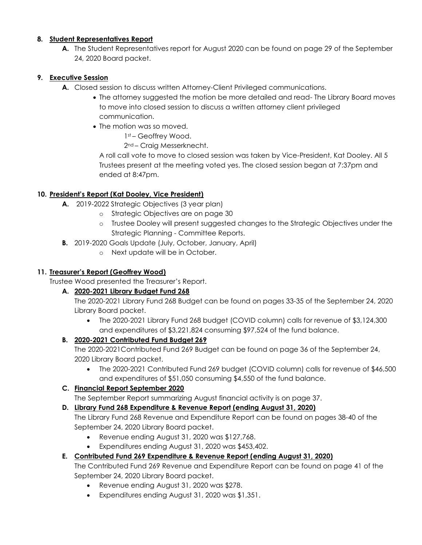#### **8. Student Representatives Report**

**A.** The Student Representatives report for August 2020 can be found on page 29 of the September 24, 2020 Board packet.

## **9. Executive Session**

- **A.** Closed session to discuss written Attorney-Client Privileged communications.
	- The attorney suggested the motion be more detailed and read- The Library Board moves to move into closed session to discuss a written attorney client privileged communication.
	- The motion was so moved.

1st – Geoffrey Wood.

2nd – Craig Messerknecht.

A roll call vote to move to closed session was taken by Vice-President, Kat Dooley. All 5 Trustees present at the meeting voted yes. The closed session began at 7:37pm and ended at 8:47pm.

### **10. President's Report (Kat Dooley, Vice President)**

- **A.** 2019-2022 Strategic Objectives (3 year plan)
	- o Strategic Objectives are on page 30
	- o Trustee Dooley will present suggested changes to the Strategic Objectives under the Strategic Planning - Committee Reports.
- **B.** 2019-2020 Goals Update (July, October, January, April)
	- o Next update will be in October.

## **11. Treasurer's Report (Geoffrey Wood)**

Trustee Wood presented the Treasurer's Report.

## **A. 2020-2021 Library Budget Fund 268**

The 2020-2021 Library Fund 268 Budget can be found on pages 33-35 of the September 24, 2020 Library Board packet.

• The 2020-2021 Library Fund 268 budget (COVID column) calls for revenue of \$3,124,300 and expenditures of \$3,221,824 consuming \$97,524 of the fund balance.

## **B. 2020-2021 Contributed Fund Budget 269**

The 2020-2021Contributed Fund 269 Budget can be found on page 36 of the September 24, 2020 Library Board packet.

 The 2020-2021 Contributed Fund 269 budget (COVID column) calls for revenue of \$46,500 and expenditures of \$51,050 consuming \$4,550 of the fund balance.

## **C. Financial Report September 2020**

The September Report summarizing August financial activity is on page 37.

## **D. Library Fund 268 Expenditure & Revenue Report (ending August 31, 2020)**

The Library Fund 268 Revenue and Expenditure Report can be found on pages 38-40 of the September 24, 2020 Library Board packet.

- Revenue ending August 31, 2020 was \$127,768.
- Expenditures ending August 31, 2020 was \$453,402.

## **E. Contributed Fund 269 Expenditure & Revenue Report (ending August 31, 2020)**

The Contributed Fund 269 Revenue and Expenditure Report can be found on page 41 of the September 24, 2020 Library Board packet.

- Revenue ending August 31, 2020 was \$278.
- Expenditures ending August 31, 2020 was \$1,351.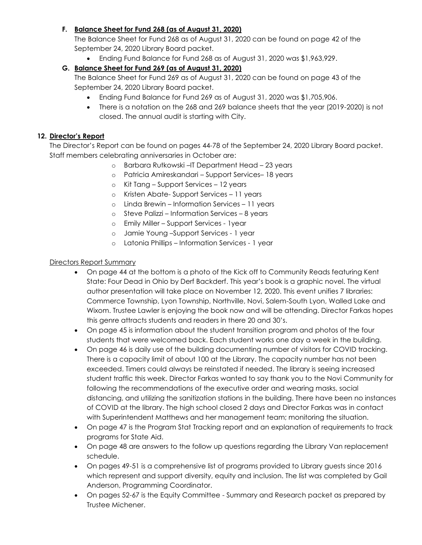## **F. Balance Sheet for Fund 268 (as of August 31, 2020)**

The Balance Sheet for Fund 268 as of August 31, 2020 can be found on page 42 of the September 24, 2020 Library Board packet.

Ending Fund Balance for Fund 268 as of August 31, 2020 was \$1,963,929.

## **G. Balance Sheet for Fund 269 (as of August 31, 2020)**

The Balance Sheet for Fund 269 as of August 31, 2020 can be found on page 43 of the September 24, 2020 Library Board packet.

- Ending Fund Balance for Fund 269 as of August 31, 2020 was \$1,705,906.
- There is a notation on the 268 and 269 balance sheets that the year (2019-2020) is not closed. The annual audit is starting with City.

### **12. Director's Report**

The Director's Report can be found on pages 44-78 of the September 24, 2020 Library Board packet. Staff members celebrating anniversaries in October are:

- o Barbara Rutkowski –IT Department Head 23 years
- o Patricia Amireskandari Support Services– 18 years
- o Kit Tang Support Services 12 years
- o Kristen Abate- Support Services 11 years
- o Linda Brewin Information Services 11 years
- o Steve Palizzi Information Services 8 years
- o Emily Miller Support Services 1year
- o Jamie Young –Support Services 1 year
- o Latonia Phillips Information Services 1 year

#### Directors Report Summary

- On page 44 at the bottom is a photo of the Kick off to Community Reads featuring Kent State: Four Dead in Ohio by Derf Backderf. This year's book is a graphic novel. The virtual author presentation will take place on November 12, 2020. This event unifies 7 libraries: Commerce Township, Lyon Township, Northville, Novi, Salem-South Lyon, Walled Lake and Wixom. Trustee Lawler is enjoying the book now and will be attending. Director Farkas hopes this genre attracts students and readers in there 20 and 30's.
- On page 45 is information about the student transition program and photos of the four students that were welcomed back. Each student works one day a week in the building.
- On page 46 is daily use of the building documenting number of visitors for COVID tracking. There is a capacity limit of about 100 at the Library. The capacity number has not been exceeded. Timers could always be reinstated if needed. The library is seeing increased student traffic this week. Director Farkas wanted to say thank you to the Novi Community for following the recommendations of the executive order and wearing masks, social distancing, and utilizing the sanitization stations in the building. There have been no instances of COVID at the library. The high school closed 2 days and Director Farkas was in contact with Superintendent Matthews and her management team; monitoring the situation.
- On page 47 is the Program Stat Tracking report and an explanation of requirements to track programs for State Aid.
- On page 48 are answers to the follow up questions regarding the Library Van replacement schedule.
- On pages 49-51 is a comprehensive list of programs provided to Library guests since 2016 which represent and support diversity, equity and inclusion. The list was completed by Gail Anderson, Programming Coordinator.
- On pages 52-67 is the Equity Committee Summary and Research packet as prepared by Trustee Michener.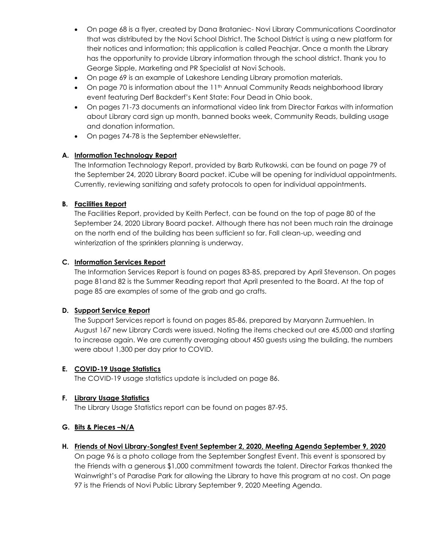- On page 68 is a flyer, created by Dana Brataniec- Novi Library Communications Coordinator that was distributed by the Novi School District. The School District is using a new platform for their notices and information; this application is called Peachjar. Once a month the Library has the opportunity to provide Library information through the school district. Thank you to George Sipple, Marketing and PR Specialist at Novi Schools.
- On page 69 is an example of Lakeshore Lending Library promotion materials.
- On page 70 is information about the 11<sup>th</sup> Annual Community Reads neighborhood library event featuring Derf Backderf's Kent State: Four Dead in Ohio book.
- On pages 71-73 documents an informational video link from Director Farkas with information about Library card sign up month, banned books week, Community Reads, building usage and donation information.
- On pages 74-78 is the September eNewsletter.

### **A. Information Technology Report**

The Information Technology Report, provided by Barb Rutkowski, can be found on page 79 of the September 24, 2020 Library Board packet. iCube will be opening for individual appointments. Currently, reviewing sanitizing and safety protocols to open for individual appointments.

### **B. Facilities Report**

The Facilities Report, provided by Keith Perfect, can be found on the top of page 80 of the September 24, 2020 Library Board packet. Although there has not been much rain the drainage on the north end of the building has been sufficient so far. Fall clean-up, weeding and winterization of the sprinklers planning is underway.

### **C. Information Services Report**

The Information Services Report is found on pages 83-85, prepared by April Stevenson. On pages page 81and 82 is the Summer Reading report that April presented to the Board. At the top of page 85 are examples of some of the grab and go crafts.

## **D. Support Service Report**

The Support Services report is found on pages 85-86, prepared by Maryann Zurmuehlen. In August 167 new Library Cards were issued. Noting the items checked out are 45,000 and starting to increase again. We are currently averaging about 450 guests using the building, the numbers were about 1,300 per day prior to COVID.

#### **E. COVID-19 Usage Statistics**

The COVID-19 usage statistics update is included on page 86.

#### **F. Library Usage Statistics**

The Library Usage Statistics report can be found on pages 87-95.

#### **G. Bits & Pieces –N/A**

#### **H. Friends of Novi Library-Songfest Event September 2, 2020, Meeting Agenda September 9, 2020**

On page 96 is a photo collage from the September Songfest Event. This event is sponsored by the Friends with a generous \$1,000 commitment towards the talent. Director Farkas thanked the Wainwright's of Paradise Park for allowing the Library to have this program at no cost. On page 97 is the Friends of Novi Public Library September 9, 2020 Meeting Agenda.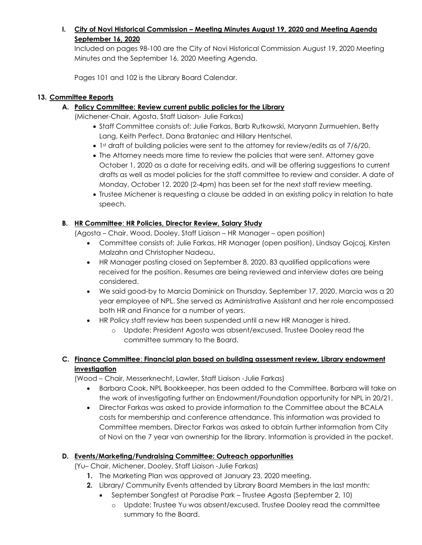## **I. City of Novi Historical Commission – Meeting Minutes August 19, 2020 and Meeting Agenda September 16, 2020**

Included on pages 98-100 are the City of Novi Historical Commission August 19, 2020 Meeting Minutes and the September 16, 2020 Meeting Agenda.

Pages 101 and 102 is the Library Board Calendar.

## **13. Committee Reports**

**A. Policy Committee: Review current public policies for the Library**

(Michener-Chair, Agosta, Staff Liaison- Julie Farkas)

- Staff Committee consists of: Julie Farkas, Barb Rutkowski, Maryann Zurmuehlen, Betty Lang, Keith Perfect, Dana Brataniec and Hillary Hentschel.
- 1st draft of building policies were sent to the attorney for review/edits as of 7/6/20.
- The Attorney needs more time to review the policies that were sent. Attorney gave October 1, 2020 as a date for receiving edits, and will be offering suggestions to current drafts as well as model policies for the staff committee to review and consider. A date of Monday, October 12, 2020 (2-4pm) has been set for the next staff review meeting.
- Trustee Michener is requesting a clause be added in an existing policy in relation to hate speech.

## **B. HR Committee**: **HR Policies, Director Review, Salary Study**

(Agosta – Chair, Wood, Dooley, Staff Liaison – HR Manager – open position)

- Committee consists of: Julie Farkas, HR Manager (open position), Lindsay Gojcaj, Kirsten Malzahn and Christopher Nadeau.
- HR Manager posting closed on September 8, 2020. 83 qualified applications were received for the position. Resumes are being reviewed and interview dates are being considered.
- We said good-by to Marcia Dominick on Thursday, September 17, 2020. Marcia was a 20 year employee of NPL. She served as Administrative Assistant and her role encompassed both HR and Finance for a number of years.
- HR Policy staff review has been suspended until a new HR Manager is hired.
	- o Update: President Agosta was absent/excused. Trustee Dooley read the committee summary to the Board.

## **C. Finance Committee**: **Financial plan based on building assessment review, Library endowment investigation**

(Wood – Chair, Messerknecht, Lawler, Staff Liaison -Julie Farkas)

- Barbara Cook, NPL Bookkeeper, has been added to the Committee. Barbara will take on the work of investigating further an Endowment/Foundation opportunity for NPL in 20/21.
- Director Farkas was asked to provide information to the Committee about the BCALA costs for membership and conference attendance. This information was provided to Committee members. Director Farkas was asked to obtain further information from City of Novi on the 7 year van ownership for the library. Information is provided in the packet.

## **D. Events/Marketing/Fundraising Committee: Outreach opportunities**

(Yu– Chair, Michener, Dooley, Staff Liaison -Julie Farkas)

- **1.** The Marketing Plan was approved at January 23, 2020 meeting.
- **2.** Library/ Community Events attended by Library Board Members in the last month:
	- September Songfest at Paradise Park Trustee Agosta (September 2, 10)
		- o Update: Trustee Yu was absent/excused. Trustee Dooley read the committee summary to the Board.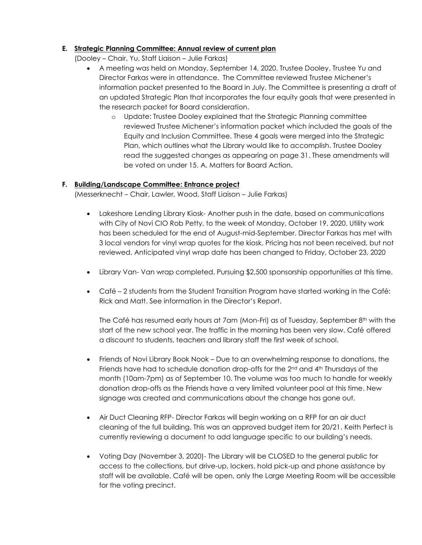#### **E. Strategic Planning Committee: Annual review of current plan**

(Dooley – Chair, Yu, Staff Liaison – Julie Farkas)

- A meeting was held on Monday, September 14, 2020. Trustee Dooley, Trustee Yu and Director Farkas were in attendance. The Committee reviewed Trustee Michener's information packet presented to the Board in July. The Committee is presenting a draft of an updated Strategic Plan that incorporates the four equity goals that were presented in the research packet for Board consideration.
	- o Update: Trustee Dooley explained that the Strategic Planning committee reviewed Trustee Michener's information packet which included the goals of the Equity and Inclusion Committee. These 4 goals were merged into the Strategic Plan, which outlines what the Library would like to accomplish. Trustee Dooley read the suggested changes as appearing on page 31. These amendments will be voted on under 15. A. Matters for Board Action.

### **F. Building/Landscape Committee: Entrance project**

(Messerknecht – Chair, Lawler, Wood, Staff Liaison – Julie Farkas)

- Lakeshore Lending Library Kiosk- Another push in the date, based on communications with City of Novi CIO Rob Petty, to the week of Monday, October 19, 2020. Utility work has been scheduled for the end of August-mid-September. Director Farkas has met with 3 local vendors for vinyl wrap quotes for the kiosk. Pricing has not been received, but not reviewed. Anticipated vinyl wrap date has been changed to Friday, October 23, 2020
- Library Van- Van wrap completed. Pursuing \$2,500 sponsorship opportunities at this time.
- Café 2 students from the Student Transition Program have started working in the Café: Rick and Matt. See information in the Director's Report.

The Café has resumed early hours at 7am (Mon-Fri) as of Tuesday, September 8<sup>th</sup> with the start of the new school year. The traffic in the morning has been very slow. Café offered a discount to students, teachers and library staff the first week of school.

- Friends of Novi Library Book Nook Due to an overwhelming response to donations, the Friends have had to schedule donation drop-offs for the 2nd and 4th Thursdays of the month (10am-7pm) as of September 10. The volume was too much to handle for weekly donation drop-offs as the Friends have a very limited volunteer pool at this time. New signage was created and communications about the change has gone out.
- Air Duct Cleaning RFP- Director Farkas will begin working on a RFP for an air duct cleaning of the full building. This was an approved budget item for 20/21. Keith Perfect is currently reviewing a document to add language specific to our building's needs.
- Voting Day (November 3, 2020)- The Library will be CLOSED to the general public for access to the collections, but drive-up, lockers, hold pick-up and phone assistance by staff will be available. Café will be open, only the Large Meeting Room will be accessible for the voting precinct.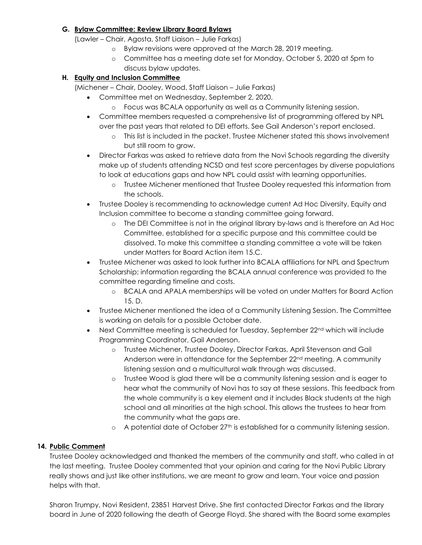### **G. Bylaw Committee: Review Library Board Bylaws**

(Lawler – Chair, Agosta, Staff Liaison – Julie Farkas)

- o Bylaw revisions were approved at the March 28, 2019 meeting.
- o Committee has a meeting date set for Monday, October 5, 2020 at 5pm to discuss bylaw updates.

## **H. Equity and Inclusion Committee**

(Michener – Chair, Dooley, Wood, Staff Liaison – Julie Farkas)

- Committee met on Wednesday, September 2, 2020.
	- o Focus was BCALA opportunity as well as a Community listening session.
- Committee members requested a comprehensive list of programming offered by NPL over the past years that related to DEI efforts. See Gail Anderson's report enclosed.
	- o This list is included in the packet. Trustee Michener stated this shows involvement but still room to grow.
- Director Farkas was asked to retrieve data from the Novi Schools regarding the diversity make up of students attending NCSD and test score percentages by diverse populations to look at educations gaps and how NPL could assist with learning opportunities.
	- o Trustee Michener mentioned that Trustee Dooley requested this information from the schools.
- Trustee Dooley is recommending to acknowledge current Ad Hoc Diversity, Equity and Inclusion committee to become a standing committee going forward.
	- o The DEI Committee is not in the original library by-laws and is therefore an Ad Hoc Committee, established for a specific purpose and this committee could be dissolved. To make this committee a standing committee a vote will be taken under Matters for Board Action item 15.C.
- Trustee Michener was asked to look further into BCALA affiliations for NPL and Spectrum Scholarship; information regarding the BCALA annual conference was provided to the committee regarding timeline and costs.
	- o BCALA and APALA memberships will be voted on under Matters for Board Action 15. D.
- Trustee Michener mentioned the idea of a Community Listening Session. The Committee is working on details for a possible October date.
- $\bullet$  Next Committee meeting is scheduled for Tuesday, September 22<sup>nd</sup> which will include Programming Coordinator, Gail Anderson.
	- o Trustee Michener, Trustee Dooley, Director Farkas, April Stevenson and Gail Anderson were in attendance for the September 22<sup>nd</sup> meeting. A community listening session and a multicultural walk through was discussed.
	- o Trustee Wood is glad there will be a community listening session and is eager to hear what the community of Novi has to say at these sessions. This feedback from the whole community is a key element and it includes Black students at the high school and all minorities at the high school. This allows the trustees to hear from the community what the gaps are.
	- $\circ$  A potential date of October 27<sup>th</sup> is established for a community listening session.

## **14. Public Comment**

Trustee Dooley acknowledged and thanked the members of the community and staff, who called in at the last meeting. Trustee Dooley commented that your opinion and caring for the Novi Public Library really shows and just like other institutions, we are meant to grow and learn. Your voice and passion helps with that.

Sharon Trumpy, Novi Resident, 23851 Harvest Drive. She first contacted Director Farkas and the library board in June of 2020 following the death of George Floyd. She shared with the Board some examples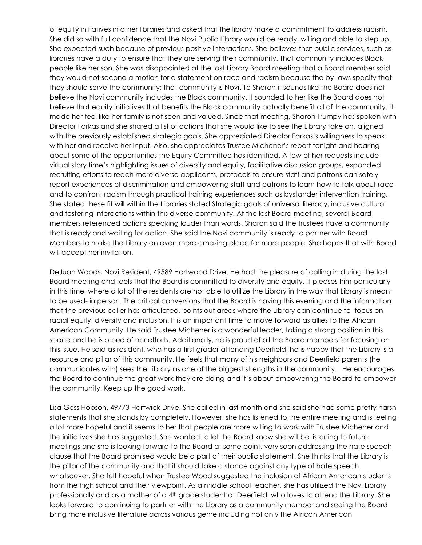of equity initiatives in other libraries and asked that the library make a commitment to address racism. She did so with full confidence that the Novi Public Library would be ready, willing and able to step up. She expected such because of previous positive interactions. She believes that public services, such as libraries have a duty to ensure that they are serving their community. That community includes Black people like her son. She was disappointed at the last Library Board meeting that a Board member said they would not second a motion for a statement on race and racism because the by-laws specify that they should serve the community; that community is Novi. To Sharon it sounds like the Board does not believe the Novi community includes the Black community. It sounded to her like the Board does not believe that equity initiatives that benefits the Black community actually benefit all of the community. It made her feel like her family is not seen and valued. Since that meeting, Sharon Trumpy has spoken with Director Farkas and she shared a list of actions that she would like to see the Library take on, aligned with the previously established strategic goals. She appreciated Director Farkas's willingness to speak with her and receive her input. Also, she appreciates Trustee Michener's report tonight and hearing about some of the opportunities the Equity Committee has identified. A few of her requests include virtual story time's highlighting issues of diversity and equity, facilitative discussion groups, expanded recruiting efforts to reach more diverse applicants, protocols to ensure staff and patrons can safely report experiences of discrimination and empowering staff and patrons to learn how to talk about race and to confront racism through practical training experiences such as bystander intervention training. She stated these fit will within the Libraries stated Strategic goals of universal literacy, inclusive cultural and fostering interactions within this diverse community. At the last Board meeting, several Board members referenced actions speaking louder than words. Sharon said the trustees have a community that is ready and waiting for action. She said the Novi community is ready to partner with Board Members to make the Library an even more amazing place for more people. She hopes that with Board will accept her invitation.

DeJuan Woods, Novi Resident, 49589 Hartwood Drive. He had the pleasure of calling in during the last Board meeting and feels that the Board is committed to diversity and equity. It pleases him particularly in this time, where a lot of the residents are not able to utilize the Library in the way that Library is meant to be used- in person. The critical conversions that the Board is having this evening and the information that the previous caller has articulated, points out areas where the Library can continue to focus on racial equity, diversity and inclusion. It is an important time to move forward as allies to the African American Community. He said Trustee Michener is a wonderful leader, taking a strong position in this space and he is proud of her efforts. Additionally, he is proud of all the Board members for focusing on this issue. He said as resident, who has a first grader attending Deerfield, he is happy that the Library is a resource and pillar of this community. He feels that many of his neighbors and Deerfield parents (he communicates with) sees the Library as one of the biggest strengths in the community. He encourages the Board to continue the great work they are doing and it's about empowering the Board to empower the community. Keep up the good work.

Lisa Goss Hopson, 49773 Hartwick Drive. She called in last month and she said she had some pretty harsh statements that she stands by completely. However, she has listened to the entire meeting and is feeling a lot more hopeful and it seems to her that people are more willing to work with Trustee Michener and the initiatives she has suggested. She wanted to let the Board know she will be listening to future meetings and she is looking forward to the Board at some point, very soon addressing the hate speech clause that the Board promised would be a part of their public statement. She thinks that the Library is the pillar of the community and that it should take a stance against any type of hate speech whatsoever. She felt hopeful when Trustee Wood suggested the inclusion of African American students from the high school and their viewpoint. As a middle school teacher, she has utilized the Novi Library professionally and as a mother of a 4th grade student at Deerfield, who loves to attend the Library. She looks forward to continuing to partner with the Library as a community member and seeing the Board bring more inclusive literature across various genre including not only the African American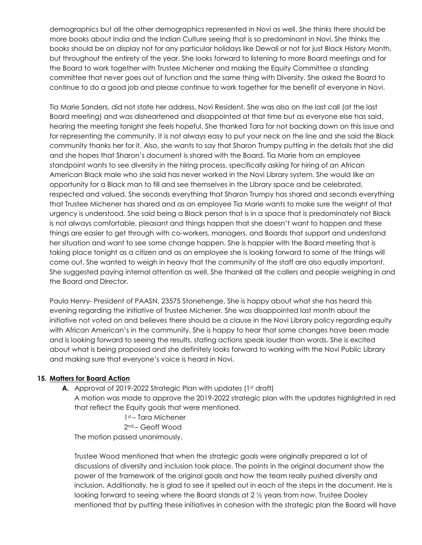demographics but all the other demographics represented in Novi as well. She thinks there should be more books about India and the Indian Culture seeing that is so predominant in Novi. She thinks the books should be on display not for any particular holidays like Dewali or not for just Black History Month, but throughout the entirety of the year. She looks forward to listening to more Board meetings and for the Board to work together with Trustee Michener and making the Equity Committee a standing committee that never goes out of function and the same thing with Diversity. She asked the Board to continue to do a good job and please continue to work together for the benefit of everyone in Novi.

Tia Marie Sanders, did not state her address, Novi Resident. She was also on the last call (at the last Board meeting) and was disheartened and disappointed at that time but as everyone else has said, hearing the meeting tonight she feels hopeful. She thanked Tara for not backing down on this issue and for representing the community. It is not always easy to put your neck on the line and she said the Black community thanks her for it. Also, she wants to say that Sharon Trumpy putting in the details that she did and she hopes that Sharon's document is shared with the Board. Tia Marie from an employee standpoint wants to see diversity in the hiring process, specifically asking for hiring of an African American Black male who she said has never worked in the Novi Library system. She would like an opportunity for a Black man to fill and see themselves in the Library space and be celebrated, respected and valued. She seconds everything that Sharon Trumpy has shared and seconds everything that Trustee Michener has shared and as an employee Tia Marie wants to make sure the weight of that urgency is understood. She said being a Black person that is in a space that is predominately not Black is not always comfortable, pleasant and things happen that she doesn't want to happen and these things are easier to get through with co-workers, managers, and Boards that support and understand her situation and want to see some change happen. She is happier with the Board meeting that is taking place tonight as a citizen and as an employee she is looking forward to some of the things will come out. She wanted to weigh in heavy that the community of the staff are also equally important. She suggested paying internal attention as well. She thanked all the callers and people weighing in and the Board and Director.

Paula Henry- President of PAASN, 23575 Stonehenge. She is happy about what she has heard this evening regarding the initiative of Trustee Michener. She was disappointed last month about the initiative not voted on and believes there should be a clause in the Novi Library policy regarding equity with African American's in the community. She is happy to hear that some changes have been made and is looking forward to seeing the results, stating actions speak louder than words. She is excited about what is being proposed and she definitely looks forward to working with the Novi Public Library and making sure that everyone's voice is heard in Novi.

#### **15. Matters for Board Action**

**A.** Approval of 2019-2022 Strategic Plan with updates (1st draft)

A motion was made to approve the 2019-2022 strategic plan with the updates highlighted in red that reflect the Equity goals that were mentioned.

> 1st – Tara Michener 2nd – Geoff Wood

The motion passed unanimously.

Trustee Wood mentioned that when the strategic goals were originally prepared a lot of discussions of diversity and inclusion took place. The points in the original document show the power of the framework of the original goals and how the team really pushed diversity and inclusion. Additionally, he is glad to see it spelled out in each of the steps in the document. He is looking forward to seeing where the Board stands at 2  $\frac{1}{2}$  years from now. Trustee Dooley mentioned that by putting these initiatives in cohesion with the strategic plan the Board will have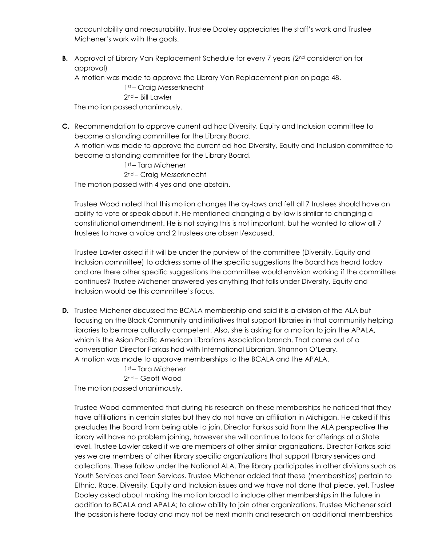accountability and measurability. Trustee Dooley appreciates the staff's work and Trustee Michener's work with the goals.

**B.** Approval of Library Van Replacement Schedule for every 7 years (2<sup>nd</sup> consideration for approval)

A motion was made to approve the Library Van Replacement plan on page 48.

1st – Craig Messerknecht

2nd – Bill Lawler

The motion passed unanimously.

**C.** Recommendation to approve current ad hoc Diversity, Equity and Inclusion committee to become a standing committee for the Library Board.

A motion was made to approve the current ad hoc Diversity, Equity and Inclusion committee to become a standing committee for the Library Board.

1st – Tara Michener

2nd – Craig Messerknecht

The motion passed with 4 yes and one abstain.

Trustee Wood noted that this motion changes the by-laws and felt all 7 trustees should have an ability to vote or speak about it. He mentioned changing a by-law is similar to changing a constitutional amendment. He is not saying this is not important, but he wanted to allow all 7 trustees to have a voice and 2 trustees are absent/excused.

Trustee Lawler asked if it will be under the purview of the committee (Diversity, Equity and Inclusion committee) to address some of the specific suggestions the Board has heard today and are there other specific suggestions the committee would envision working if the committee continues? Trustee Michener answered yes anything that falls under Diversity, Equity and Inclusion would be this committee's focus.

**D.** Trustee Michener discussed the BCALA membership and said it is a division of the ALA but focusing on the Black Community and initiatives that support libraries in that community helping libraries to be more culturally competent. Also, she is asking for a motion to join the APALA, which is the Asian Pacific American Librarians Association branch. That came out of a conversation Director Farkas had with International Librarian, Shannon O'Leary. A motion was made to approve memberships to the BCALA and the APALA.

1st – Tara Michener 2nd – Geoff Wood The motion passed unanimously.

Trustee Wood commented that during his research on these memberships he noticed that they have affiliations in certain states but they do not have an affiliation in Michigan. He asked if this precludes the Board from being able to join. Director Farkas said from the ALA perspective the library will have no problem joining, however she will continue to look for offerings at a State level. Trustee Lawler asked if we are members of other similar organizations. Director Farkas said yes we are members of other library specific organizations that support library services and collections. These follow under the National ALA. The library participates in other divisions such as Youth Services and Teen Services. Trustee Michener added that these (memberships) pertain to Ethnic, Race, Diversity, Equity and Inclusion issues and we have not done that piece, yet. Trustee Dooley asked about making the motion broad to include other memberships in the future in addition to BCALA and APALA; to allow ability to join other organizations. Trustee Michener said the passion is here today and may not be next month and research on additional memberships